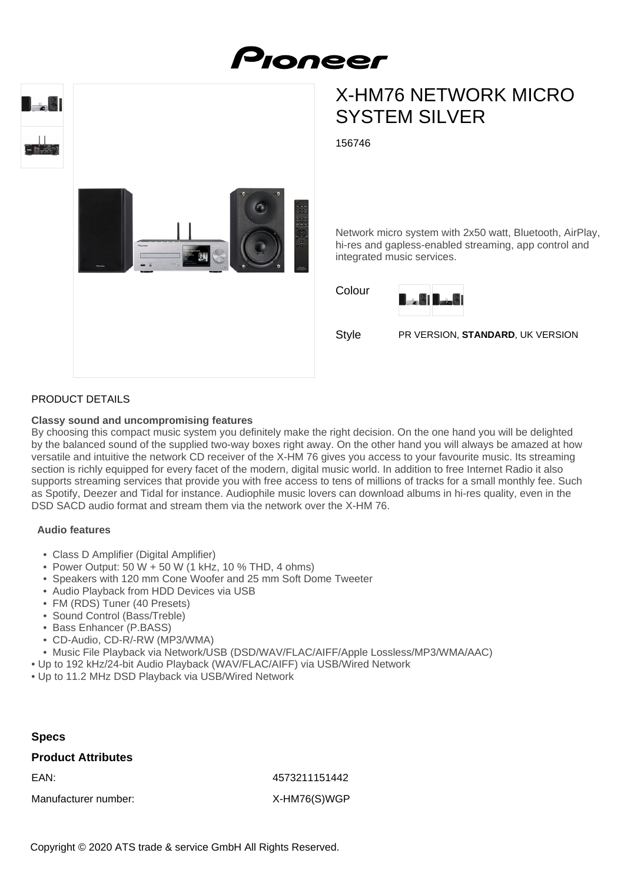



# X-HM76 NETWORK MICRO SYSTEM SILVER

156746

Network micro system with 2x50 watt, Bluetooth, AirPlay, hi-res and gapless-enabled streaming, app control and integrated music services.

Colour



Style PR VERSION, **STANDARD**, UK VERSION

### PRODUCT DETAILS

#### **Classy sound and uncompromising features**

By choosing this compact music system you definitely make the right decision. On the one hand you will be delighted by the balanced sound of the supplied two-way boxes right away. On the other hand you will always be amazed at how versatile and intuitive the network CD receiver of the X-HM 76 gives you access to your favourite music. Its streaming section is richly equipped for every facet of the modern, digital music world. In addition to free Internet Radio it also supports streaming services that provide you with free access to tens of millions of tracks for a small monthly fee. Such as Spotify, Deezer and Tidal for instance. Audiophile music lovers can download albums in hi-res quality, even in the DSD SACD audio format and stream them via the network over the X-HM 76.

#### **Audio features**

- Class D Amplifier (Digital Amplifier)
- Power Output: 50 W + 50 W (1 kHz, 10 % THD, 4 ohms)
- Speakers with 120 mm Cone Woofer and 25 mm Soft Dome Tweeter
- Audio Playback from HDD Devices via USB
- FM (RDS) Tuner (40 Presets)
- Sound Control (Bass/Treble)
- Bass Enhancer (P.BASS)
- CD-Audio, CD-R/-RW (MP3/WMA)
- Music File Playback via Network/USB (DSD/WAV/FLAC/AIFF/Apple Lossless/MP3/WMA/AAC)
- Up to 192 kHz/24-bit Audio Playback (WAV/FLAC/AIFF) via USB/Wired Network
- Up to 11.2 MHz DSD Playback via USB/Wired Network

#### **Specs**

## **Product Attributes**

Manufacturer number: X-HM76(S)WGP

EAN: 4573211151442

Copyright © 2020 ATS trade & service GmbH All Rights Reserved.